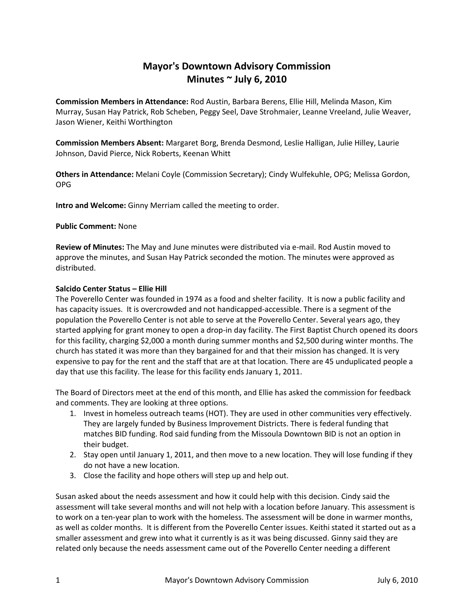# **Mayor's Downtown Advisory Commission Minutes ~ July 6, 2010**

**Commission Members in Attendance:** Rod Austin, Barbara Berens, Ellie Hill, Melinda Mason, Kim Murray, Susan Hay Patrick, Rob Scheben, Peggy Seel, Dave Strohmaier, Leanne Vreeland, Julie Weaver, Jason Wiener, Keithi Worthington

**Commission Members Absent:** Margaret Borg, Brenda Desmond, Leslie Halligan, Julie Hilley, Laurie Johnson, David Pierce, Nick Roberts, Keenan Whitt

**Others in Attendance:** Melani Coyle (Commission Secretary); Cindy Wulfekuhle, OPG; Melissa Gordon, OPG

**Intro and Welcome:** Ginny Merriam called the meeting to order.

## **Public Comment:** None

**Review of Minutes:** The May and June minutes were distributed via e-mail. Rod Austin moved to approve the minutes, and Susan Hay Patrick seconded the motion. The minutes were approved as distributed.

## **Salcido Center Status – Ellie Hill**

The Poverello Center was founded in 1974 as a food and shelter facility. It is now a public facility and has capacity issues. It is overcrowded and not handicapped-accessible. There is a segment of the population the Poverello Center is not able to serve at the Poverello Center. Several years ago, they started applying for grant money to open a drop-in day facility. The First Baptist Church opened its doors for this facility, charging \$2,000 a month during summer months and \$2,500 during winter months. The church has stated it was more than they bargained for and that their mission has changed. It is very expensive to pay for the rent and the staff that are at that location. There are 45 unduplicated people a day that use this facility. The lease for this facility ends January 1, 2011.

The Board of Directors meet at the end of this month, and Ellie has asked the commission for feedback and comments. They are looking at three options.

- 1. Invest in homeless outreach teams (HOT). They are used in other communities very effectively. They are largely funded by Business Improvement Districts. There is federal funding that matches BID funding. Rod said funding from the Missoula Downtown BID is not an option in their budget.
- 2. Stay open until January 1, 2011, and then move to a new location. They will lose funding if they do not have a new location.
- 3. Close the facility and hope others will step up and help out.

Susan asked about the needs assessment and how it could help with this decision. Cindy said the assessment will take several months and will not help with a location before January. This assessment is to work on a ten-year plan to work with the homeless. The assessment will be done in warmer months, as well as colder months. It is different from the Poverello Center issues. Keithi stated it started out as a smaller assessment and grew into what it currently is as it was being discussed. Ginny said they are related only because the needs assessment came out of the Poverello Center needing a different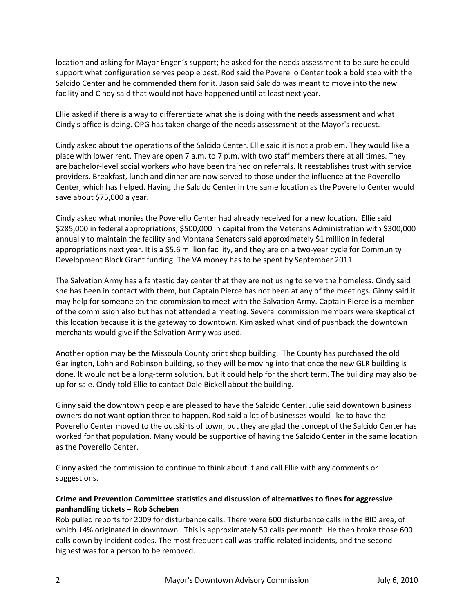location and asking for Mayor Engen's support; he asked for the needs assessment to be sure he could support what configuration serves people best. Rod said the Poverello Center took a bold step with the Salcido Center and he commended them for it. Jason said Salcido was meant to move into the new facility and Cindy said that would not have happened until at least next year.

Ellie asked if there is a way to differentiate what she is doing with the needs assessment and what Cindy's office is doing. OPG has taken charge of the needs assessment at the Mayor's request.

Cindy asked about the operations of the Salcido Center. Ellie said it is not a problem. They would like a place with lower rent. They are open 7 a.m. to 7 p.m. with two staff members there at all times. They are bachelor-level social workers who have been trained on referrals. It reestablishes trust with service providers. Breakfast, lunch and dinner are now served to those under the influence at the Poverello Center, which has helped. Having the Salcido Center in the same location as the Poverello Center would save about \$75,000 a year.

Cindy asked what monies the Poverello Center had already received for a new location. Ellie said \$285,000 in federal appropriations, \$500,000 in capital from the Veterans Administration with \$300,000 annually to maintain the facility and Montana Senators said approximately \$1 million in federal appropriations next year. It is a \$5.6 million facility, and they are on a two-year cycle for Community Development Block Grant funding. The VA money has to be spent by September 2011.

The Salvation Army has a fantastic day center that they are not using to serve the homeless. Cindy said she has been in contact with them, but Captain Pierce has not been at any of the meetings. Ginny said it may help for someone on the commission to meet with the Salvation Army. Captain Pierce is a member of the commission also but has not attended a meeting. Several commission members were skeptical of this location because it is the gateway to downtown. Kim asked what kind of pushback the downtown merchants would give if the Salvation Army was used.

Another option may be the Missoula County print shop building. The County has purchased the old Garlington, Lohn and Robinson building, so they will be moving into that once the new GLR building is done. It would not be a long-term solution, but it could help for the short term. The building may also be up for sale. Cindy told Ellie to contact Dale Bickell about the building.

Ginny said the downtown people are pleased to have the Salcido Center. Julie said downtown business owners do not want option three to happen. Rod said a lot of businesses would like to have the Poverello Center moved to the outskirts of town, but they are glad the concept of the Salcido Center has worked for that population. Many would be supportive of having the Salcido Center in the same location as the Poverello Center.

Ginny asked the commission to continue to think about it and call Ellie with any comments or suggestions.

## **Crime and Prevention Committee statistics and discussion of alternatives to fines for aggressive panhandling tickets – Rob Scheben**

Rob pulled reports for 2009 for disturbance calls. There were 600 disturbance calls in the BID area, of which 14% originated in downtown. This is approximately 50 calls per month. He then broke those 600 calls down by incident codes. The most frequent call was traffic-related incidents, and the second highest was for a person to be removed.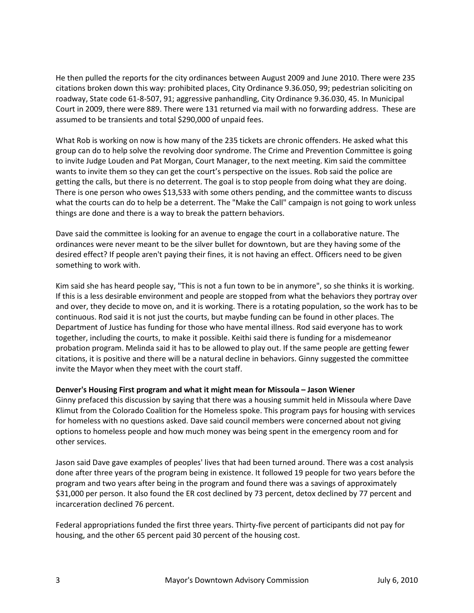He then pulled the reports for the city ordinances between August 2009 and June 2010. There were 235 citations broken down this way: prohibited places, City Ordinance 9.36.050, 99; pedestrian soliciting on roadway, State code 61-8-507, 91; aggressive panhandling, City Ordinance 9.36.030, 45. In Municipal Court in 2009, there were 889. There were 131 returned via mail with no forwarding address. These are assumed to be transients and total \$290,000 of unpaid fees.

What Rob is working on now is how many of the 235 tickets are chronic offenders. He asked what this group can do to help solve the revolving door syndrome. The Crime and Prevention Committee is going to invite Judge Louden and Pat Morgan, Court Manager, to the next meeting. Kim said the committee wants to invite them so they can get the court's perspective on the issues. Rob said the police are getting the calls, but there is no deterrent. The goal is to stop people from doing what they are doing. There is one person who owes \$13,533 with some others pending, and the committee wants to discuss what the courts can do to help be a deterrent. The "Make the Call" campaign is not going to work unless things are done and there is a way to break the pattern behaviors.

Dave said the committee is looking for an avenue to engage the court in a collaborative nature. The ordinances were never meant to be the silver bullet for downtown, but are they having some of the desired effect? If people aren't paying their fines, it is not having an effect. Officers need to be given something to work with.

Kim said she has heard people say, "This is not a fun town to be in anymore", so she thinks it is working. If this is a less desirable environment and people are stopped from what the behaviors they portray over and over, they decide to move on, and it is working. There is a rotating population, so the work has to be continuous. Rod said it is not just the courts, but maybe funding can be found in other places. The Department of Justice has funding for those who have mental illness. Rod said everyone has to work together, including the courts, to make it possible. Keithi said there is funding for a misdemeanor probation program. Melinda said it has to be allowed to play out. If the same people are getting fewer citations, it is positive and there will be a natural decline in behaviors. Ginny suggested the committee invite the Mayor when they meet with the court staff.

## **Denver's Housing First program and what it might mean for Missoula – Jason Wiener**

Ginny prefaced this discussion by saying that there was a housing summit held in Missoula where Dave Klimut from the Colorado Coalition for the Homeless spoke. This program pays for housing with services for homeless with no questions asked. Dave said council members were concerned about not giving options to homeless people and how much money was being spent in the emergency room and for other services.

Jason said Dave gave examples of peoples' lives that had been turned around. There was a cost analysis done after three years of the program being in existence. It followed 19 people for two years before the program and two years after being in the program and found there was a savings of approximately \$31,000 per person. It also found the ER cost declined by 73 percent, detox declined by 77 percent and incarceration declined 76 percent.

Federal appropriations funded the first three years. Thirty-five percent of participants did not pay for housing, and the other 65 percent paid 30 percent of the housing cost.